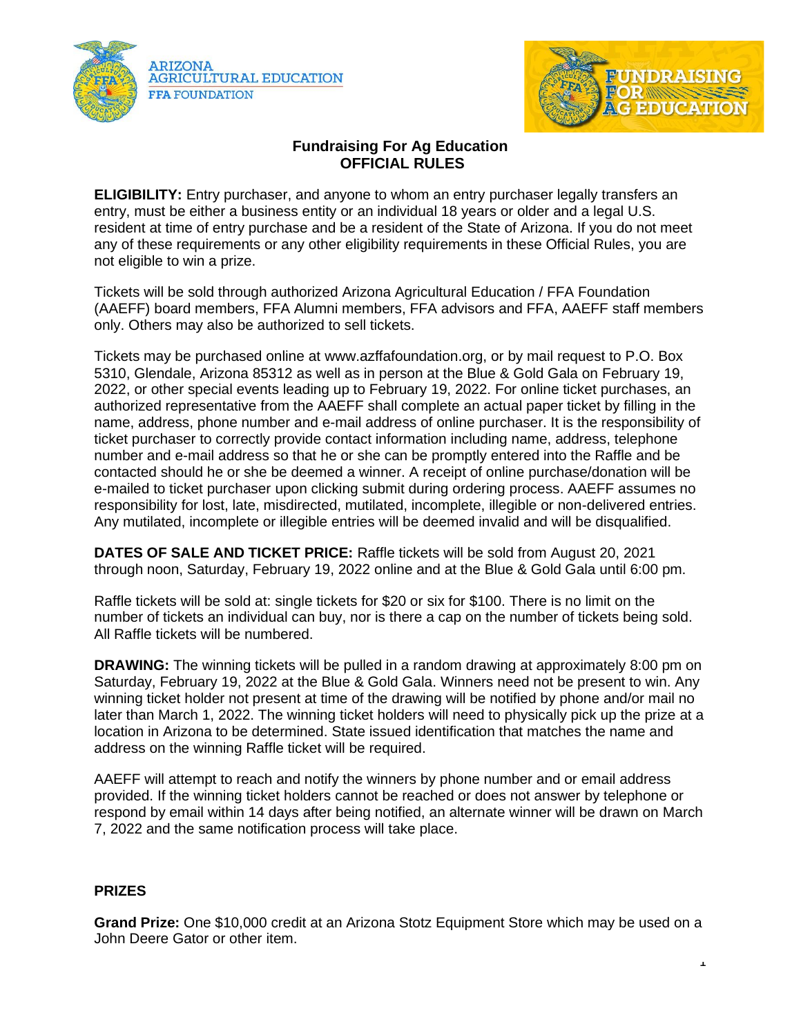



## **Fundraising For Ag Education OFFICIAL RULES**

**ELIGIBILITY:** Entry purchaser, and anyone to whom an entry purchaser legally transfers an entry, must be either a business entity or an individual 18 years or older and a legal U.S. resident at time of entry purchase and be a resident of the State of Arizona. If you do not meet any of these requirements or any other eligibility requirements in these Official Rules, you are not eligible to win a prize.

Tickets will be sold through authorized Arizona Agricultural Education / FFA Foundation (AAEFF) board members, FFA Alumni members, FFA advisors and FFA, AAEFF staff members only. Others may also be authorized to sell tickets.

Tickets may be purchased online at www.azffafoundation.org, or by mail request to P.O. Box 5310, Glendale, Arizona 85312 as well as in person at the Blue & Gold Gala on February 19, 2022, or other special events leading up to February 19, 2022. For online ticket purchases, an authorized representative from the AAEFF shall complete an actual paper ticket by filling in the name, address, phone number and e-mail address of online purchaser. It is the responsibility of ticket purchaser to correctly provide contact information including name, address, telephone number and e-mail address so that he or she can be promptly entered into the Raffle and be contacted should he or she be deemed a winner. A receipt of online purchase/donation will be e-mailed to ticket purchaser upon clicking submit during ordering process. AAEFF assumes no responsibility for lost, late, misdirected, mutilated, incomplete, illegible or non-delivered entries. Any mutilated, incomplete or illegible entries will be deemed invalid and will be disqualified.

**DATES OF SALE AND TICKET PRICE:** Raffle tickets will be sold from August 20, 2021 through noon, Saturday, February 19, 2022 online and at the Blue & Gold Gala until 6:00 pm.

Raffle tickets will be sold at: single tickets for \$20 or six for \$100. There is no limit on the number of tickets an individual can buy, nor is there a cap on the number of tickets being sold. All Raffle tickets will be numbered.

**DRAWING:** The winning tickets will be pulled in a random drawing at approximately 8:00 pm on Saturday, February 19, 2022 at the Blue & Gold Gala. Winners need not be present to win. Any winning ticket holder not present at time of the drawing will be notified by phone and/or mail no later than March 1, 2022. The winning ticket holders will need to physically pick up the prize at a location in Arizona to be determined. State issued identification that matches the name and address on the winning Raffle ticket will be required.

AAEFF will attempt to reach and notify the winners by phone number and or email address provided. If the winning ticket holders cannot be reached or does not answer by telephone or respond by email within 14 days after being notified, an alternate winner will be drawn on March 7, 2022 and the same notification process will take place.

## **PRIZES**

**Grand Prize:** One \$10,000 credit at an Arizona Stotz Equipment Store which may be used on a John Deere Gator or other item.